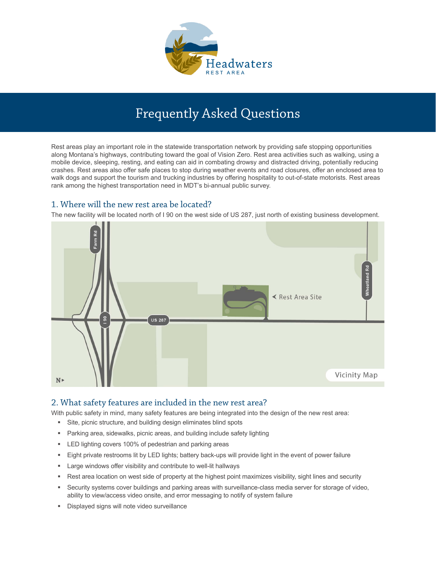

# Frequently Asked Questions

Rest areas play an important role in the statewide transportation network by providing safe stopping opportunities along Montana's highways, contributing toward the goal of Vision Zero. Rest area activities such as walking, using a mobile device, sleeping, resting, and eating can aid in combating drowsy and distracted driving, potentially reducing crashes. Rest areas also offer safe places to stop during weather events and road closures, offer an enclosed area to walk dogs and support the tourism and trucking industries by offering hospitality to out-of-state motorists. Rest areas rank among the highest transportation need in MDT's bi-annual public survey.

# 1. Where will the new rest area be located?

The new facility will be located north of I 90 on the west side of US 287, just north of existing business development.



## 2. What safety features are included in the new rest area?

With public safety in mind, many safety features are being integrated into the design of the new rest area:

- Site, picnic structure, and building design eliminates blind spots
- Parking area, sidewalks, picnic areas, and building include safety lighting
- **ED lighting covers 100% of pedestrian and parking areas**
- Eight private restrooms lit by LED lights; battery back-ups will provide light in the event of power failure
- **EXEC** Large windows offer visibility and contribute to well-lit hallways
- Rest area location on west side of property at the highest point maximizes visibility, sight lines and security
- Security systems cover buildings and parking areas with surveillance-class media server for storage of video, ability to view/access video onsite, and error messaging to notify of system failure
- Displayed signs will note video surveillance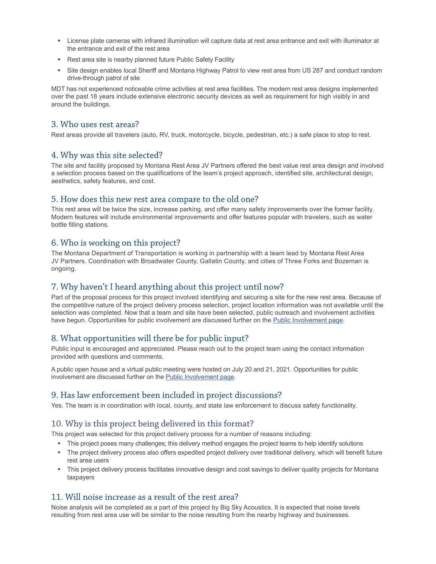- License plate cameras with infrared illumination will capture data at rest area entrance and exit with illuminator at the entrance and exit of the rest area
- Rest area site is nearby planned future Public Safety Facility
- Site design enables local Sheriff and Montana Highway Patrol to view rest area from US 287 and conduct random drive-through patrol of site

MDT has not experienced noticeable crime activities at rest area facilities. The modern rest area designs implemented over the past 18 years include extensive electronic security devices as well as requirement for high visibly in and around the buildings.

#### 3. Who uses rest areas?

Rest areas provide all travelers (auto, RV, truck, motorcycle, bicycle, pedestrian, etc.) a safe place to stop to rest.

#### 4. Why was this site selected?

The site and facility proposed by Montana Rest Area JV Partners offered the best value rest area design and involved a selection process based on the qualifications of the team's project approach, identified site, architectural design, aesthetics, safety features, and cost.

#### 5. How does this new rest area compare to the old one?

This rest area will be twice the size, increase parking, and offer many safety improvements over the former facility. Modern features will include environmental improvements and offer features popular with travelers, such as water bottle filling stations.

#### 6. Who is working on this project?

The Montana Department of Transportation is working in partnership with a team lead by Montana Rest Area JV Partners. Coordination with Broadwater County, Gallatin County, and cities of Three Forks and Bozeman is ongoing.

#### 7. Why haven't I heard anything about this project until now?

Part of the proposal process for this project involved identifying and securing a site for the new rest area. Because of the competitive nature of the project delivery process selection, project location information was not available until the selection was completed. Now that a team and site have been selected, public outreach and involvement activities have begun. Opportunities for public involvement are discussed further on the [Public Involvement page.](https://www.mdt.mt.gov/pubinvolve/headwatersrestarea/public-involvement.shtml)

#### 8. What opportunities will there be for public input?

Public input is encouraged and appreciated. Please reach out to the project team using the contact information provided with questions and comments.

A public open house and a virtual public meeting were hosted on July 20 and 21, 2021. Opportunities for public involvement are discussed further on the [Public Involvement page.](https://www.mdt.mt.gov/pubinvolve/headwatersrestarea/public-involvement.shtml)

## 9. Has law enforcement been included in project discussions?

Yes. The team is in coordination with local, county, and state law enforcement to discuss safety functionality.

## 10. Why is this project being delivered in this format?

This project was selected for this project delivery process for a number of reasons including:

- This project poses many challenges; this delivery method engages the project teams to help identify solutions
- The project delivery process also offers expedited project delivery over traditional delivery, which will benefit future rest area users
- This project delivery process facilitates innovative design and cost savings to deliver quality projects for Montana taxpayers

#### 11. Will noise increase as a result of the rest area?

Noise analysis will be completed as a part of this project by Big Sky Acoustics. It is expected that noise levels resulting from rest area use will be similar to the noise resulting from the nearby highway and businesses.